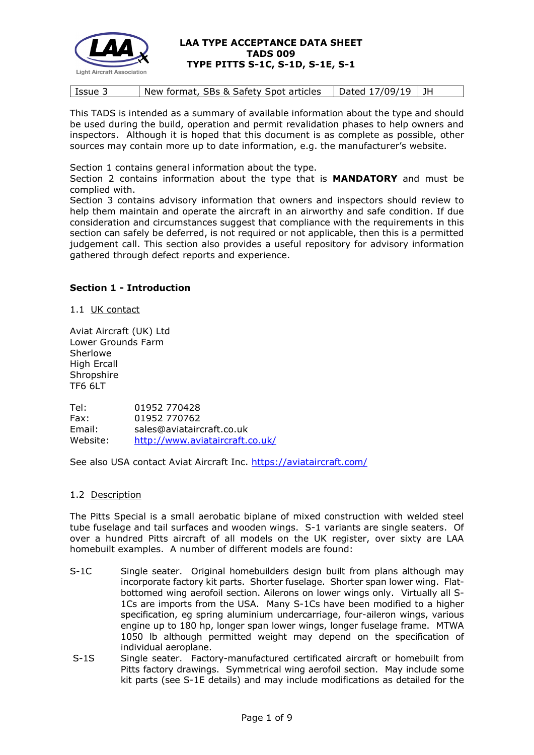

|  | Issue 3 | New format, SBs & Safety Spot articles | Dated 17/09/19   JH |  |
|--|---------|----------------------------------------|---------------------|--|
|--|---------|----------------------------------------|---------------------|--|

This TADS is intended as a summary of available information about the type and should be used during the build, operation and permit revalidation phases to help owners and inspectors. Although it is hoped that this document is as complete as possible, other sources may contain more up to date information, e.g. the manufacturer's website.

Section 1 contains general information about the type.

Section 2 contains information about the type that is **MANDATORY** and must be complied with.

Section 3 contains advisory information that owners and inspectors should review to help them maintain and operate the aircraft in an airworthy and safe condition. If due consideration and circumstances suggest that compliance with the requirements in this section can safely be deferred, is not required or not applicable, then this is a permitted judgement call. This section also provides a useful repository for advisory information gathered through defect reports and experience.

## **Section 1 - Introduction**

1.1 UK contact

Aviat Aircraft (UK) Ltd Lower Grounds Farm Sherlowe High Ercall **Shropshire** TF6 6LT

Tel: 01952 770428 Fax: 01952 770762 Email: sales@aviataircraft.co.uk Website: <http://www.aviataircraft.co.uk/>

See also USA contact Aviat Aircraft Inc.<https://aviataircraft.com/>

#### 1.2 Description

The Pitts Special is a small aerobatic biplane of mixed construction with welded steel tube fuselage and tail surfaces and wooden wings. S-1 variants are single seaters. Of over a hundred Pitts aircraft of all models on the UK register, over sixty are LAA homebuilt examples. A number of different models are found:

- S-1C Single seater. Original homebuilders design built from plans although may incorporate factory kit parts. Shorter fuselage. Shorter span lower wing. Flatbottomed wing aerofoil section. Ailerons on lower wings only. Virtually all S-1Cs are imports from the USA. Many S-1Cs have been modified to a higher specification, eg spring aluminium undercarriage, four-aileron wings, various engine up to 180 hp, longer span lower wings, longer fuselage frame. MTWA 1050 lb although permitted weight may depend on the specification of individual aeroplane.
- S-1S Single seater. Factory-manufactured certificated aircraft or homebuilt from Pitts factory drawings. Symmetrical wing aerofoil section. May include some kit parts (see S-1E details) and may include modifications as detailed for the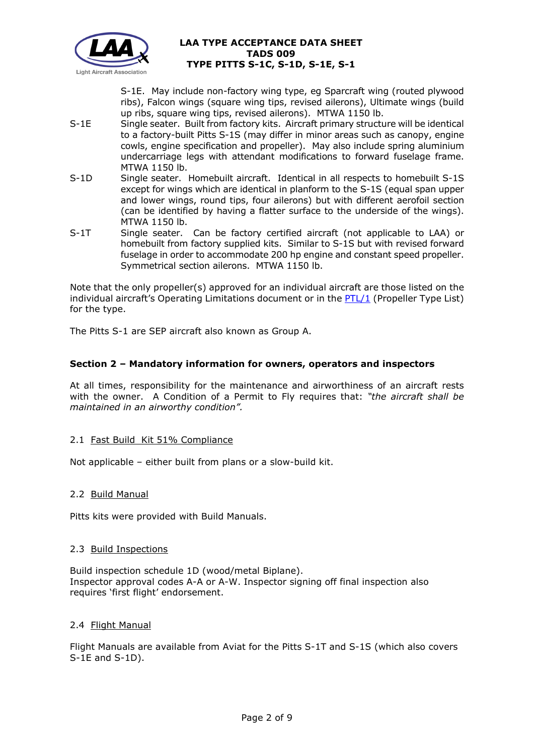

S-1E. May include non-factory wing type, eg Sparcraft wing (routed plywood ribs), Falcon wings (square wing tips, revised ailerons), Ultimate wings (build up ribs, square wing tips, revised ailerons). MTWA 1150 lb.

- S-1E Single seater. Built from factory kits. Aircraft primary structure will be identical to a factory-built Pitts S-1S (may differ in minor areas such as canopy, engine cowls, engine specification and propeller). May also include spring aluminium undercarriage legs with attendant modifications to forward fuselage frame. MTWA 1150 lb.
- S-1D Single seater. Homebuilt aircraft. Identical in all respects to homebuilt S-1S except for wings which are identical in planform to the S-1S (equal span upper and lower wings, round tips, four ailerons) but with different aerofoil section (can be identified by having a flatter surface to the underside of the wings). MTWA 1150 lb.
- S-1T Single seater. Can be factory certified aircraft (not applicable to LAA) or homebuilt from factory supplied kits. Similar to S-1S but with revised forward fuselage in order to accommodate 200 hp engine and constant speed propeller. Symmetrical section ailerons. MTWA 1150 lb.

Note that the only propeller(s) approved for an individual aircraft are those listed on the individual aircraft's Operating Limitations document or in the  $PTL/1$  (Propeller Type List) for the type.

The Pitts S-1 are SEP aircraft also known as Group A.

# **Section 2 – Mandatory information for owners, operators and inspectors**

At all times, responsibility for the maintenance and airworthiness of an aircraft rests with the owner. A Condition of a Permit to Fly requires that: *"the aircraft shall be maintained in an airworthy condition".* 

#### 2.1 Fast Build Kit 51% Compliance

Not applicable – either built from plans or a slow-build kit.

#### 2.2 Build Manual

Pitts kits were provided with Build Manuals.

#### 2.3 Build Inspections

Build inspection schedule 1D (wood/metal Biplane). Inspector approval codes A-A or A-W. Inspector signing off final inspection also requires 'first flight' endorsement.

#### 2.4 Flight Manual

Flight Manuals are available from Aviat for the Pitts S-1T and S-1S (which also covers S-1E and S-1D).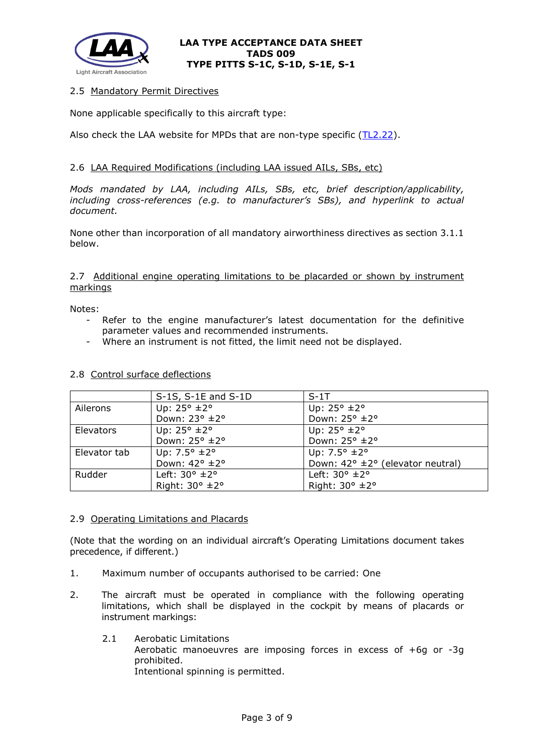

### 2.5 Mandatory Permit Directives

None applicable specifically to this aircraft type:

Also check the LAA website for MPDs that are non-type specific [\(TL2.22\)](http://www.lightaircraftassociation.co.uk/engineering/TechnicalLeaflets/Operating%20An%20Aircraft/TL%202.22%20non-type%20specific%20MPDs.pdf).

### 2.6 LAA Required Modifications (including LAA issued AILs, SBs, etc)

*Mods mandated by LAA, including AILs, SBs, etc, brief description/applicability, including cross-references (e.g. to manufacturer's SBs), and hyperlink to actual document.*

None other than incorporation of all mandatory airworthiness directives as section 3.1.1 below.

#### 2.7 Additional engine operating limitations to be placarded or shown by instrument markings

Notes:

- Refer to the engine manufacturer's latest documentation for the definitive parameter values and recommended instruments.
- Where an instrument is not fitted, the limit need not be displayed.

|              | $S-1S$ , $S-1E$ and $S-1D$       | $S-1$ T                                             |
|--------------|----------------------------------|-----------------------------------------------------|
| Ailerons     | Up: $25^{\circ}$ $\pm 2^{\circ}$ | Up: $25^{\circ}$ $\pm 2^{\circ}$                    |
|              | Down: 23° ±2°                    | Down: 25° ±2°                                       |
| Elevators    | Up: $25^{\circ}$ ±2°             | Up: $25^{\circ}$ $\pm 2^{\circ}$                    |
|              | Down: 25° ±2°                    | Down: 25° ±2°                                       |
| Elevator tab | Up: $7.5^{\circ}$ ±2°            | Up: $7.5^{\circ}$ ±2°                               |
|              | Down: 42° ±2°                    | Down: $42^{\circ} \pm 2^{\circ}$ (elevator neutral) |
| Rudder       | Left: $30^\circ \pm 2^\circ$     | Left: $30^\circ \pm 2^\circ$                        |
|              | Right: $30^\circ \pm 2^\circ$    | Right: $30^\circ \pm 2^\circ$                       |

#### 2.8 Control surface deflections

#### 2.9 Operating Limitations and Placards

(Note that the wording on an individual aircraft's Operating Limitations document takes precedence, if different.)

- 1. Maximum number of occupants authorised to be carried: One
- 2. The aircraft must be operated in compliance with the following operating limitations, which shall be displayed in the cockpit by means of placards or instrument markings:
	- 2.1 Aerobatic Limitations Aerobatic manoeuvres are imposing forces in excess of +6g or -3g prohibited. Intentional spinning is permitted.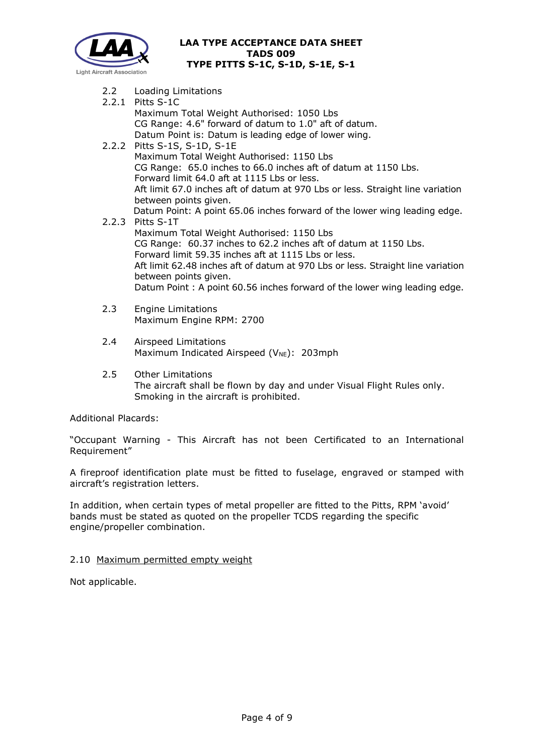

- 2.2 Loading Limitations
- 2.2.1 Pitts S-1C Maximum Total Weight Authorised: 1050 Lbs CG Range: 4.6" forward of datum to 1.0" aft of datum. Datum Point is: Datum is leading edge of lower wing.
- 2.2.2 Pitts S-1S, S-1D, S-1E Maximum Total Weight Authorised: 1150 Lbs CG Range: 65.0 inches to 66.0 inches aft of datum at 1150 Lbs. Forward limit 64.0 aft at 1115 Lbs or less. Aft limit 67.0 inches aft of datum at 970 Lbs or less. Straight line variation between points given. Datum Point: A point 65.06 inches forward of the lower wing leading edge.
- 2.2.3 Pitts S-1T Maximum Total Weight Authorised: 1150 Lbs CG Range: 60.37 inches to 62.2 inches aft of datum at 1150 Lbs. Forward limit 59.35 inches aft at 1115 Lbs or less. Aft limit 62.48 inches aft of datum at 970 Lbs or less. Straight line variation between points given. Datum Point : A point 60.56 inches forward of the lower wing leading edge.
- 2.3 Engine Limitations Maximum Engine RPM: 2700
- 2.4 Airspeed Limitations Maximum Indicated Airspeed ( $V_{NE}$ ): 203mph
- 2.5 Other Limitations The aircraft shall be flown by day and under Visual Flight Rules only. Smoking in the aircraft is prohibited.

Additional Placards:

"Occupant Warning - This Aircraft has not been Certificated to an International Requirement"

A fireproof identification plate must be fitted to fuselage, engraved or stamped with aircraft's registration letters.

In addition, when certain types of metal propeller are fitted to the Pitts, RPM 'avoid' bands must be stated as quoted on the propeller TCDS regarding the specific engine/propeller combination.

#### 2.10 Maximum permitted empty weight

Not applicable.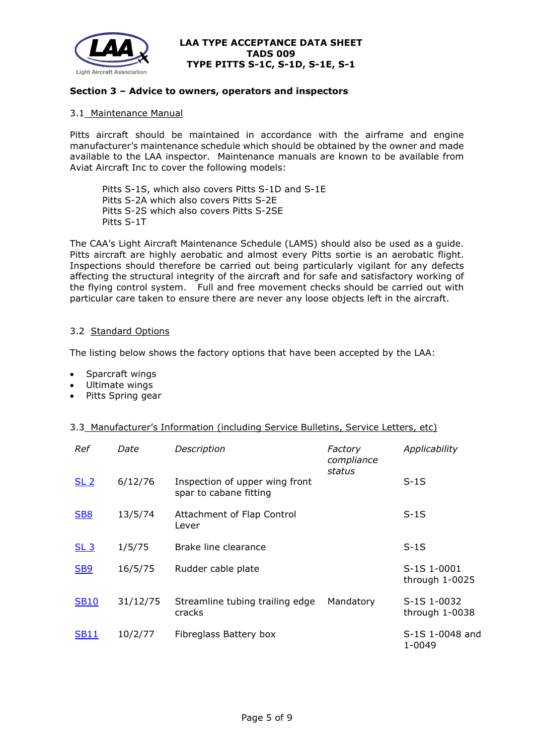

#### **Section 3 – Advice to owners, operators and inspectors**

#### 3.1 Maintenance Manual

Pitts aircraft should be maintained in accordance with the airframe and engine manufacturer's maintenance schedule which should be obtained by the owner and made available to the LAA inspector. Maintenance manuals are known to be available from Aviat Aircraft Inc to cover the following models:

Pitts S-1S, which also covers Pitts S-1D and S-1E Pitts S-2A which also covers Pitts S-2E Pitts S-2S which also covers Pitts S-2SE Pitts S-1T

The CAA's Light Aircraft Maintenance Schedule (LAMS) should also be used as a guide. Pitts aircraft are highly aerobatic and almost every Pitts sortie is an aerobatic flight. Inspections should therefore be carried out being particularly vigilant for any defects affecting the structural integrity of the aircraft and for safe and satisfactory working of the flying control system. Full and free movement checks should be carried out with particular care taken to ensure there are never any loose objects left in the aircraft.

#### 3.2 Standard Options

The listing below shows the factory options that have been accepted by the LAA:

- Sparcraft wings
- Ultimate wings
- Pitts Spring gear

#### 3.3 Manufacturer's Information (including Service Bulletins, Service Letters, etc)

| Ref             | Date     | Description                                              | Factory<br>compliance<br>status | Applicability                   |
|-----------------|----------|----------------------------------------------------------|---------------------------------|---------------------------------|
| SL <sub>2</sub> | 6/12/76  | Inspection of upper wing front<br>spar to cabane fitting |                                 | $S-1S$                          |
| <b>SB8</b>      | 13/5/74  | Attachment of Flap Control<br>Lever                      |                                 | $S-1S$                          |
| SL <sub>3</sub> | 1/5/75   | Brake line clearance                                     |                                 | $S-1S$                          |
| <b>SB9</b>      | 16/5/75  | Rudder cable plate                                       |                                 | S-1S 1-0001<br>through 1-0025   |
| <b>SB10</b>     | 31/12/75 | Streamline tubing trailing edge<br>cracks                | Mandatory                       | S-1S 1-0032<br>through $1-0038$ |
| <b>SB11</b>     | 10/2/77  | Fibreglass Battery box                                   |                                 | S-1S 1-0048 and<br>1-0049       |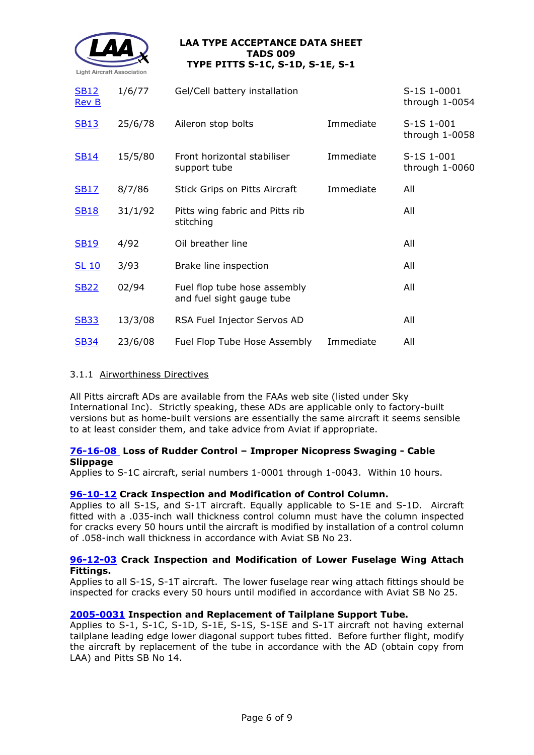

| <b>SB12</b><br><b>Rev B</b> | 1/6/77  | Gel/Cell battery installation                             |           | S-1S 1-0001<br>through 1-0054  |
|-----------------------------|---------|-----------------------------------------------------------|-----------|--------------------------------|
| <b>SB13</b>                 | 25/6/78 | Aileron stop bolts                                        | Immediate | S-1S 1-001<br>through $1-0058$ |
| <b>SB14</b>                 | 15/5/80 | Front horizontal stabiliser<br>support tube               | Immediate | S-1S 1-001<br>through 1-0060   |
| <b>SB17</b>                 | 8/7/86  | Stick Grips on Pitts Aircraft                             | Immediate | All                            |
| <b>SB18</b>                 | 31/1/92 | Pitts wing fabric and Pitts rib<br>stitching              |           | All                            |
| <b>SB19</b>                 | 4/92    | Oil breather line                                         |           | All                            |
| <b>SL 10</b>                | 3/93    | Brake line inspection                                     |           | All                            |
| <b>SB22</b>                 | 02/94   | Fuel flop tube hose assembly<br>and fuel sight gauge tube |           | All                            |
| <b>SB33</b>                 | 13/3/08 | RSA Fuel Injector Servos AD                               |           | All                            |
| <b>SB34</b>                 | 23/6/08 | Fuel Flop Tube Hose Assembly                              | Immediate | All                            |

### 3.1.1 Airworthiness Directives

All Pitts aircraft ADs are available from the FAAs web site (listed under Sky International Inc). Strictly speaking, these ADs are applicable only to factory-built versions but as home-built versions are essentially the same aircraft it seems sensible to at least consider them, and take advice from Aviat if appropriate.

## **[76-16-08](http://www.lightaircraftassociation.co.uk/engineering/TADs/009/FAA%20AD%2076-16-08.pdf) Loss of Rudder Control – Improper Nicopress Swaging - Cable Slippage**

Applies to S-1C aircraft, serial numbers 1-0001 through 1-0043. Within 10 hours.

#### **[96-10-12](http://www.lightaircraftassociation.co.uk/engineering/TADs/009/FAA%20AD%2096-10-12.pdf) Crack Inspection and Modification of Control Column.**

Applies to all S-1S, and S-1T aircraft. Equally applicable to S-1E and S-1D. Aircraft fitted with a .035-inch wall thickness control column must have the column inspected for cracks every 50 hours until the aircraft is modified by installation of a control column of .058-inch wall thickness in accordance with Aviat SB No 23.

#### **[96-12-03](http://www.lightaircraftassociation.co.uk/engineering/TADs/009/FAA%20AD%2096-12-03%20R2.pdf) Crack Inspection and Modification of Lower Fuselage Wing Attach Fittings.**

Applies to all S-1S, S-1T aircraft. The lower fuselage rear wing attach fittings should be inspected for cracks every 50 hours until modified in accordance with Aviat SB No 25.

#### **[2005-0031](http://www.lightaircraftassociation.co.uk/engineering/TADs/009/EASA%20AD%202005-003.pdf) Inspection and Replacement of Tailplane Support Tube.**

Applies to S-1, S-1C, S-1D, S-1E, S-1S, S-1SE and S-1T aircraft not having external tailplane leading edge lower diagonal support tubes fitted. Before further flight, modify the aircraft by replacement of the tube in accordance with the AD (obtain copy from LAA) and Pitts SB No 14.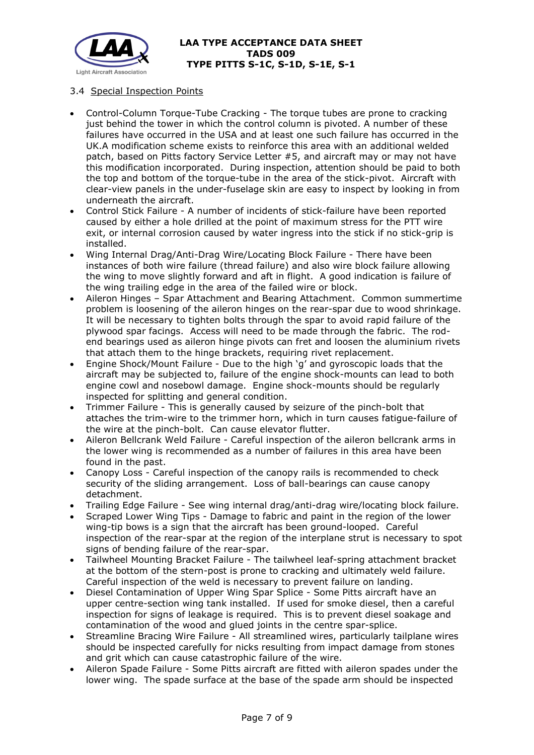

## 3.4 Special Inspection Points

- Control-Column Torque-Tube Cracking The torque tubes are prone to cracking just behind the tower in which the control column is pivoted. A number of these failures have occurred in the USA and at least one such failure has occurred in the UK.A modification scheme exists to reinforce this area with an additional welded patch, based on Pitts factory Service Letter #5, and aircraft may or may not have this modification incorporated. During inspection, attention should be paid to both the top and bottom of the torque-tube in the area of the stick-pivot. Aircraft with clear-view panels in the under-fuselage skin are easy to inspect by looking in from underneath the aircraft.
- Control Stick Failure A number of incidents of stick-failure have been reported caused by either a hole drilled at the point of maximum stress for the PTT wire exit, or internal corrosion caused by water ingress into the stick if no stick-grip is installed.
- Wing Internal Drag/Anti-Drag Wire/Locating Block Failure There have been instances of both wire failure (thread failure) and also wire block failure allowing the wing to move slightly forward and aft in flight. A good indication is failure of the wing trailing edge in the area of the failed wire or block.
- Aileron Hinges Spar Attachment and Bearing Attachment. Common summertime problem is loosening of the aileron hinges on the rear-spar due to wood shrinkage. It will be necessary to tighten bolts through the spar to avoid rapid failure of the plywood spar facings. Access will need to be made through the fabric. The rodend bearings used as aileron hinge pivots can fret and loosen the aluminium rivets that attach them to the hinge brackets, requiring rivet replacement.
- Engine Shock/Mount Failure Due to the high 'g' and gyroscopic loads that the aircraft may be subjected to, failure of the engine shock-mounts can lead to both engine cowl and nosebowl damage. Engine shock-mounts should be regularly inspected for splitting and general condition.
- Trimmer Failure This is generally caused by seizure of the pinch-bolt that attaches the trim-wire to the trimmer horn, which in turn causes fatigue-failure of the wire at the pinch-bolt. Can cause elevator flutter.
- Aileron Bellcrank Weld Failure Careful inspection of the aileron bellcrank arms in the lower wing is recommended as a number of failures in this area have been found in the past.
- Canopy Loss Careful inspection of the canopy rails is recommended to check security of the sliding arrangement. Loss of ball-bearings can cause canopy detachment.
- Trailing Edge Failure See wing internal drag/anti-drag wire/locating block failure.
- Scraped Lower Wing Tips Damage to fabric and paint in the region of the lower wing-tip bows is a sign that the aircraft has been ground-looped. Careful inspection of the rear-spar at the region of the interplane strut is necessary to spot signs of bending failure of the rear-spar.
- Tailwheel Mounting Bracket Failure The tailwheel leaf-spring attachment bracket at the bottom of the stern-post is prone to cracking and ultimately weld failure. Careful inspection of the weld is necessary to prevent failure on landing.
- Diesel Contamination of Upper Wing Spar Splice Some Pitts aircraft have an upper centre-section wing tank installed. If used for smoke diesel, then a careful inspection for signs of leakage is required. This is to prevent diesel soakage and contamination of the wood and glued joints in the centre spar-splice.
- Streamline Bracing Wire Failure All streamlined wires, particularly tailplane wires should be inspected carefully for nicks resulting from impact damage from stones and grit which can cause catastrophic failure of the wire.
- Aileron Spade Failure Some Pitts aircraft are fitted with aileron spades under the lower wing. The spade surface at the base of the spade arm should be inspected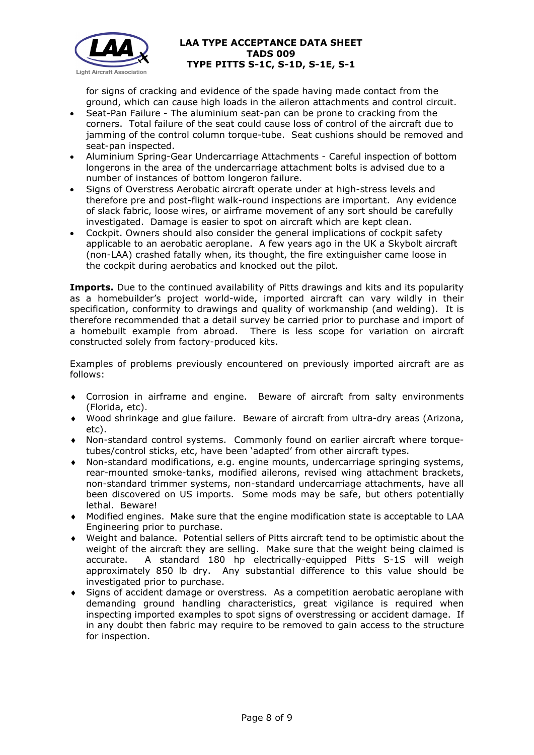

for signs of cracking and evidence of the spade having made contact from the ground, which can cause high loads in the aileron attachments and control circuit.

- Seat-Pan Failure The aluminium seat-pan can be prone to cracking from the corners. Total failure of the seat could cause loss of control of the aircraft due to jamming of the control column torque-tube. Seat cushions should be removed and seat-pan inspected.
- Aluminium Spring-Gear Undercarriage Attachments Careful inspection of bottom longerons in the area of the undercarriage attachment bolts is advised due to a number of instances of bottom longeron failure.
- Signs of Overstress Aerobatic aircraft operate under at high-stress levels and therefore pre and post-flight walk-round inspections are important. Any evidence of slack fabric, loose wires, or airframe movement of any sort should be carefully investigated. Damage is easier to spot on aircraft which are kept clean.
- Cockpit. Owners should also consider the general implications of cockpit safety applicable to an aerobatic aeroplane. A few years ago in the UK a Skybolt aircraft (non-LAA) crashed fatally when, its thought, the fire extinguisher came loose in the cockpit during aerobatics and knocked out the pilot.

**Imports.** Due to the continued availability of Pitts drawings and kits and its popularity as a homebuilder's project world-wide, imported aircraft can vary wildly in their specification, conformity to drawings and quality of workmanship (and welding). It is therefore recommended that a detail survey be carried prior to purchase and import of a homebuilt example from abroad. There is less scope for variation on aircraft constructed solely from factory-produced kits.

Examples of problems previously encountered on previously imported aircraft are as follows:

- ♦ Corrosion in airframe and engine. Beware of aircraft from salty environments (Florida, etc).
- Wood shrinkage and glue failure. Beware of aircraft from ultra-dry areas (Arizona, etc).
- Non-standard control systems. Commonly found on earlier aircraft where torquetubes/control sticks, etc, have been 'adapted' from other aircraft types.
- ♦ Non-standard modifications, e.g. engine mounts, undercarriage springing systems, rear-mounted smoke-tanks, modified ailerons, revised wing attachment brackets, non-standard trimmer systems, non-standard undercarriage attachments, have all been discovered on US imports. Some mods may be safe, but others potentially lethal. Beware!
- ♦ Modified engines. Make sure that the engine modification state is acceptable to LAA Engineering prior to purchase.
- ♦ Weight and balance. Potential sellers of Pitts aircraft tend to be optimistic about the weight of the aircraft they are selling. Make sure that the weight being claimed is accurate. A standard 180 hp electrically-equipped Pitts S-1S will weigh approximately 850 lb dry. Any substantial difference to this value should be investigated prior to purchase.
- Signs of accident damage or overstress. As a competition aerobatic aeroplane with demanding ground handling characteristics, great vigilance is required when inspecting imported examples to spot signs of overstressing or accident damage. If in any doubt then fabric may require to be removed to gain access to the structure for inspection.